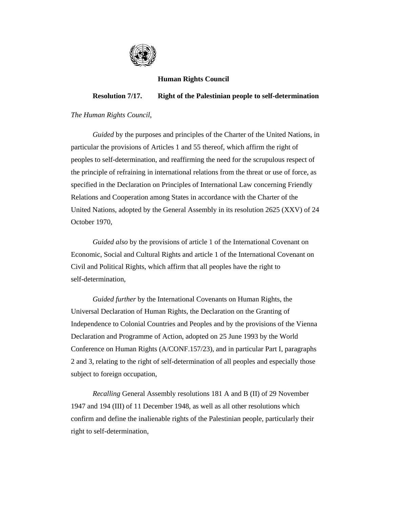

## **Human Rights Council**

## **Resolution 7/17. Right of the Palestinian people to self-determination**

## *The Human Rights Council*,

 *Guided* by the purposes and principles of the Charter of the United Nations, in particular the provisions of Articles 1 and 55 thereof, which affirm the right of peoples to self-determination, and reaffirming the need for the scrupulous respect of the principle of refraining in international relations from the threat or use of force, as specified in the Declaration on Principles of International Law concerning Friendly Relations and Cooperation among States in accordance with the Charter of the United Nations, adopted by the General Assembly in its resolution 2625 (XXV) of 24 October 1970,

 *Guided also* by the provisions of article 1 of the International Covenant on Economic, Social and Cultural Rights and article 1 of the International Covenant on Civil and Political Rights, which affirm that all peoples have the right to self-determination,

 *Guided further* by the International Covenants on Human Rights, the Universal Declaration of Human Rights, the Declaration on the Granting of Independence to Colonial Countries and Peoples and by the provisions of the Vienna Declaration and Programme of Action, adopted on 25 June 1993 by the World Conference on Human Rights (A/CONF.157/23), and in particular Part I, paragraphs 2 and 3, relating to the right of self-determination of all peoples and especially those subject to foreign occupation,

 *Recalling* General Assembly resolutions 181 A and B (II) of 29 November 1947 and 194 (III) of 11 December 1948, as well as all other resolutions which confirm and define the inalienable rights of the Palestinian people, particularly their right to self-determination,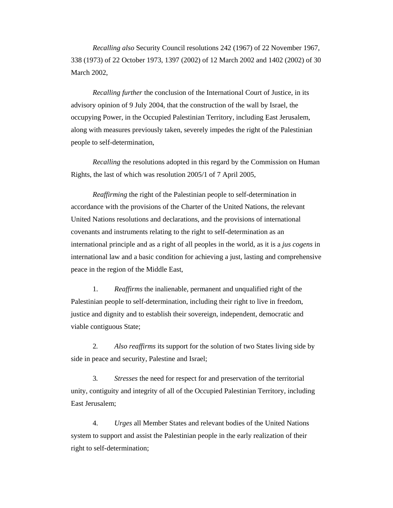*Recalling also* Security Council resolutions 242 (1967) of 22 November 1967, 338 (1973) of 22 October 1973, 1397 (2002) of 12 March 2002 and 1402 (2002) of 30 March 2002,

 *Recalling further* the conclusion of the International Court of Justice, in its advisory opinion of 9 July 2004, that the construction of the wall by Israel, the occupying Power, in the Occupied Palestinian Territory, including East Jerusalem, along with measures previously taken, severely impedes the right of the Palestinian people to self-determination,

 *Recalling* the resolutions adopted in this regard by the Commission on Human Rights, the last of which was resolution 2005/1 of 7 April 2005,

 *Reaffirming* the right of the Palestinian people to self-determination in accordance with the provisions of the Charter of the United Nations, the relevant United Nations resolutions and declarations, and the provisions of international covenants and instruments relating to the right to self-determination as an international principle and as a right of all peoples in the world, as it is a *jus cogens* in international law and a basic condition for achieving a just, lasting and comprehensive peace in the region of the Middle East,

 1. *Reaffirms* the inalienable, permanent and unqualified right of the Palestinian people to self-determination, including their right to live in freedom, justice and dignity and to establish their sovereign, independent, democratic and viable contiguous State;

 2*. Also reaffirms* its support for the solution of two States living side by side in peace and security, Palestine and Israel;

 3*. Stresses* the need for respect for and preservation of the territorial unity, contiguity and integrity of all of the Occupied Palestinian Territory, including East Jerusalem;

 4. *Urges* all Member States and relevant bodies of the United Nations system to support and assist the Palestinian people in the early realization of their right to self-determination;